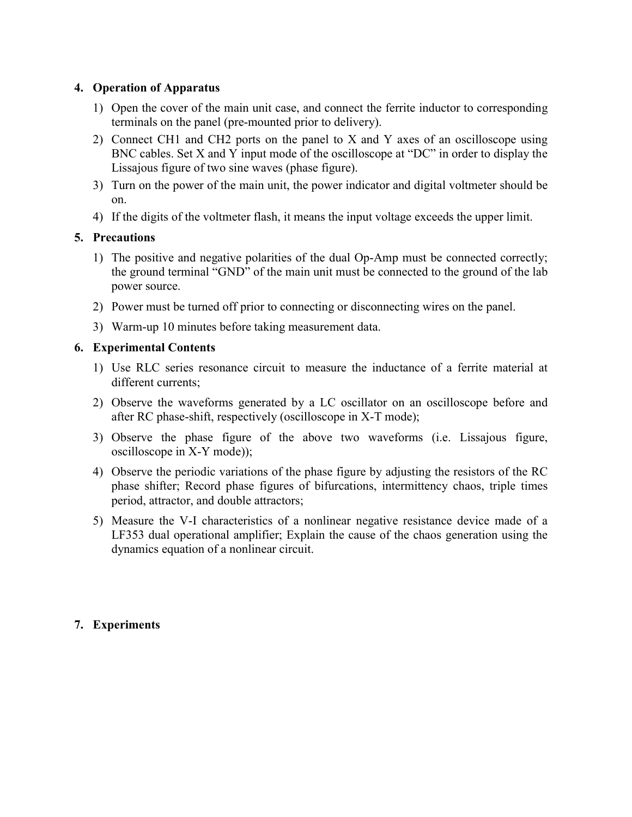## 4. Operation of Apparatus

- 1) Open the cover of the main unit case, and connect the ferrite inductor to corresponding terminals on the panel (pre-mounted prior to delivery).
- 2) Connect CH1 and CH2 ports on the panel to X and Y axes of an oscilloscope using BNC cables. Set X and Y input mode of the oscilloscope at "DC" in order to display the Lissajous figure of two sine waves (phase figure).
- 3) Turn on the power of the main unit, the power indicator and digital voltmeter should be on.
- 4) If the digits of the voltmeter flash, it means the input voltage exceeds the upper limit.

#### 5. Precautions

- 1) The positive and negative polarities of the dual Op-Amp must be connected correctly; the ground terminal "GND" of the main unit must be connected to the ground of the lab power source.
- 2) Power must be turned off prior to connecting or disconnecting wires on the panel.
- 3) Warm-up 10 minutes before taking measurement data.

#### 6. Experimental Contents

- 1) Use RLC series resonance circuit to measure the inductance of a ferrite material at different currents;
- 2) Observe the waveforms generated by a LC oscillator on an oscilloscope before and after RC phase-shift, respectively (oscilloscope in X-T mode);
- 3) Observe the phase figure of the above two waveforms (i.e. Lissajous figure, oscilloscope in X-Y mode));
- 4) Observe the periodic variations of the phase figure by adjusting the resistors of the RC phase shifter; Record phase figures of bifurcations, intermittency chaos, triple times period, attractor, and double attractors;
- 5) Measure the V-I characteristics of a nonlinear negative resistance device made of a LF353 dual operational amplifier; Explain the cause of the chaos generation using the dynamics equation of a nonlinear circuit.

## 7. Experiments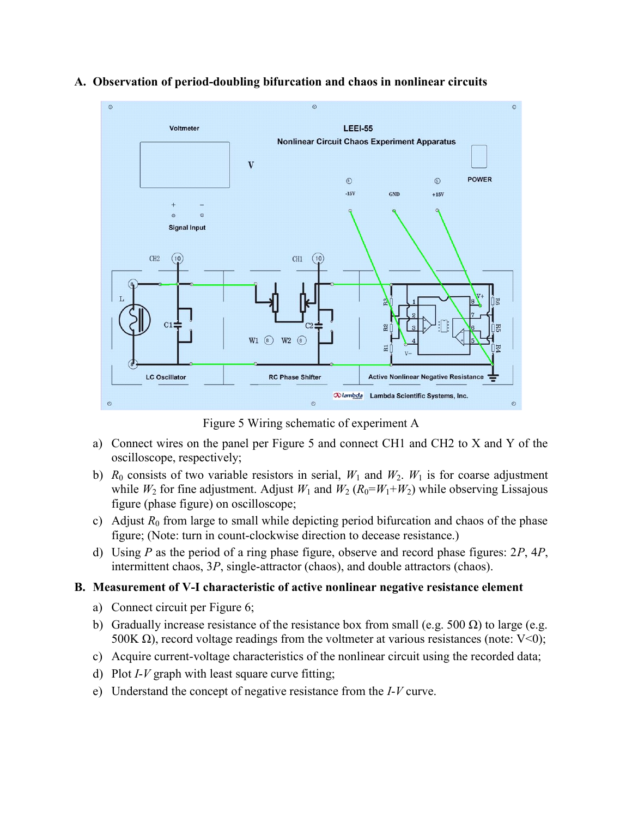

#### A. Observation of period-doubling bifurcation and chaos in nonlinear circuits

Figure 5 Wiring schematic of experiment A

- a) Connect wires on the panel per Figure 5 and connect CH1 and CH2 to X and Y of the oscilloscope, respectively;
- b)  $R_0$  consists of two variable resistors in serial,  $W_1$  and  $W_2$ .  $W_1$  is for coarse adjustment while  $W_2$  for fine adjustment. Adjust  $W_1$  and  $W_2$  ( $R_0 = W_1 + W_2$ ) while observing Lissajous figure (phase figure) on oscilloscope;
- c) Adjust  $R_0$  from large to small while depicting period bifurcation and chaos of the phase figure; (Note: turn in count-clockwise direction to decease resistance.)
- d) Using P as the period of a ring phase figure, observe and record phase figures:  $2P$ ,  $4P$ , intermittent chaos, 3P, single-attractor (chaos), and double attractors (chaos).

## B. Measurement of V-I characteristic of active nonlinear negative resistance element

- a) Connect circuit per Figure 6;
- b) Gradually increase resistance of the resistance box from small (e.g. 500  $\Omega$ ) to large (e.g. 500K Ω), record voltage readings from the voltmeter at various resistances (note:  $V<0$ );
- c) Acquire current-voltage characteristics of the nonlinear circuit using the recorded data;
- d) Plot  $I-V$  graph with least square curve fitting;
- e) Understand the concept of negative resistance from the I-V curve.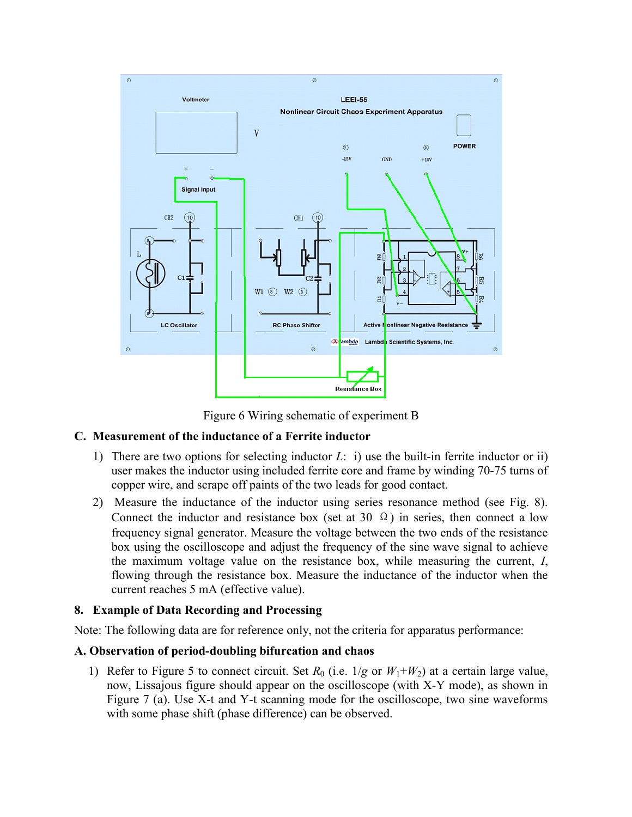

Figure 6 Wiring schematic of experiment B

## C. Measurement of the inductance of a Ferrite inductor

- 1) There are two options for selecting inductor  $L:$  i) use the built-in ferrite inductor or ii) user makes the inductor using included ferrite core and frame by winding 70-75 turns of copper wire, and scrape off paints of the two leads for good contact.
- 2) Measure the inductance of the inductor using series resonance method (see Fig. 8). Connect the inductor and resistance box (set at 30  $\Omega$ ) in series, then connect a low frequency signal generator. Measure the voltage between the two ends of the resistance box using the oscilloscope and adjust the frequency of the sine wave signal to achieve the maximum voltage value on the resistance box, while measuring the current, I, flowing through the resistance box. Measure the inductance of the inductor when the current reaches 5 mA (effective value).

## 8. Example of Data Recording and Processing

Note: The following data are for reference only, not the criteria for apparatus performance:

## A. Observation of period-doubling bifurcation and chaos

1) Refer to Figure 5 to connect circuit. Set  $R_0$  (i.e.  $1/g$  or  $W_1+W_2$ ) at a certain large value, now, Lissajous figure should appear on the oscilloscope (with X-Y mode), as shown in Figure 7 (a). Use X-t and Y-t scanning mode for the oscilloscope, two sine waveforms with some phase shift (phase difference) can be observed.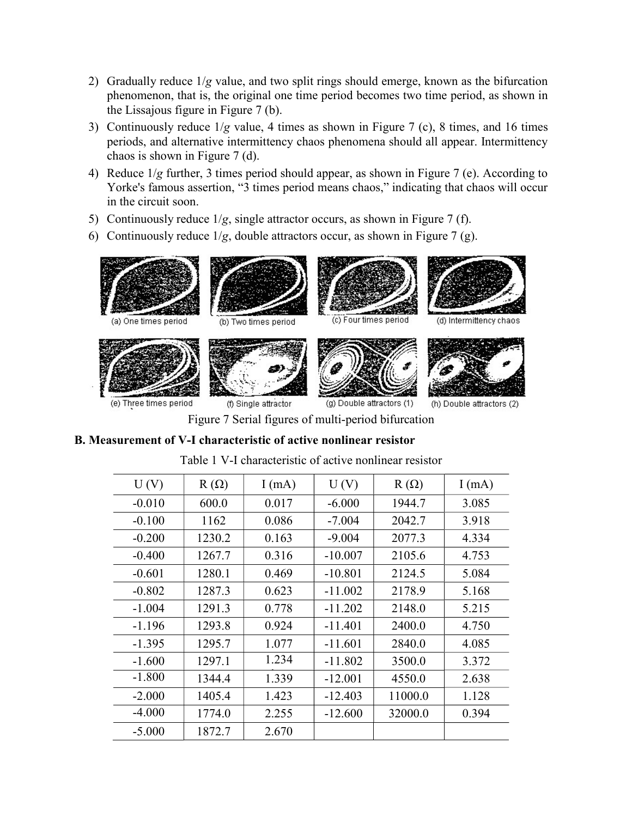- 2) Gradually reduce  $1/g$  value, and two split rings should emerge, known as the bifurcation phenomenon, that is, the original one time period becomes two time period, as shown in the Lissajous figure in Figure 7 (b).
- 3) Continuously reduce  $1/g$  value, 4 times as shown in Figure 7 (c), 8 times, and 16 times periods, and alternative intermittency chaos phenomena should all appear. Intermittency chaos is shown in Figure 7 (d).
- 4) Reduce 1/g further, 3 times period should appear, as shown in Figure 7 (e). According to Yorke's famous assertion, "3 times period means chaos," indicating that chaos will occur in the circuit soon.
- 5) Continuously reduce  $1/g$ , single attractor occurs, as shown in Figure 7 (f).
- 6) Continuously reduce  $1/g$ , double attractors occur, as shown in Figure 7 (g).



(e) Three times period

(f) Single attractor

(g) Double attractors (1)



(h) Double attractors (2)

Figure 7 Serial figures of multi-period bifurcation

# B. Measurement of V-I characteristic of active nonlinear resistor

| U(V)     | $R(\Omega)$ | I(mA) | U(V)      | $R(\Omega)$ | I(mA) |
|----------|-------------|-------|-----------|-------------|-------|
| $-0.010$ | 600.0       | 0.017 | $-6.000$  | 1944.7      | 3.085 |
| $-0.100$ | 1162        | 0.086 | $-7.004$  | 2042.7      | 3.918 |
| $-0.200$ | 1230.2      | 0.163 | $-9.004$  | 2077.3      | 4.334 |
| $-0.400$ | 1267.7      | 0.316 | $-10.007$ | 2105.6      | 4.753 |
| $-0.601$ | 1280.1      | 0.469 | $-10.801$ | 2124.5      | 5.084 |
| $-0.802$ | 1287.3      | 0.623 | $-11.002$ | 2178.9      | 5.168 |
| $-1.004$ | 1291.3      | 0.778 | $-11.202$ | 2148.0      | 5.215 |
| $-1.196$ | 1293.8      | 0.924 | $-11.401$ | 2400.0      | 4.750 |
| $-1.395$ | 1295.7      | 1.077 | $-11.601$ | 2840.0      | 4.085 |
| $-1.600$ | 1297.1      | 1.234 | $-11.802$ | 3500.0      | 3.372 |
| $-1.800$ | 1344.4      | 1.339 | $-12.001$ | 4550.0      | 2.638 |
| $-2.000$ | 1405.4      | 1.423 | $-12.403$ | 11000.0     | 1.128 |
| $-4.000$ | 1774.0      | 2.255 | $-12.600$ | 32000.0     | 0.394 |
| $-5.000$ | 1872.7      | 2.670 |           |             |       |

Table 1 V-I characteristic of active nonlinear resistor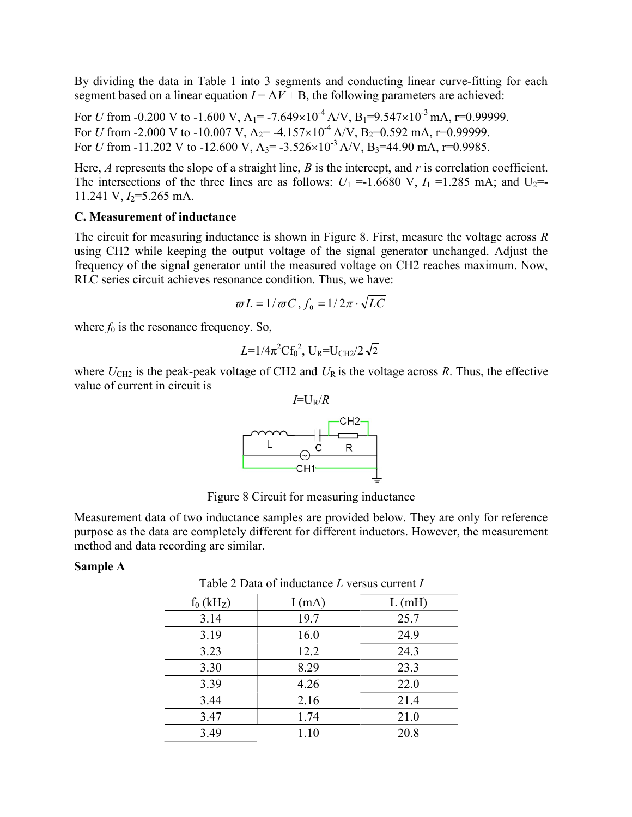By dividing the data in Table 1 into 3 segments and conducting linear curve-fitting for each segment based on a linear equation  $I = A V + B$ , the following parameters are achieved:

For U from -0.200 V to -1.600 V,  $A_1$  = -7.649×10<sup>-4</sup> A/V,  $B_1$ =9.547×10<sup>-3</sup> mA, r=0.99999. For U from -2.000 V to -10.007 V, A<sub>2</sub> = -4.157×10<sup>-4</sup> A/V, B<sub>2</sub>=0.592 mA, r=0.99999. For U from -11.202 V to -12.600 V,  $A_3$  = -3.526×10<sup>-3</sup> A/V,  $B_3$ =44.90 mA, r=0.9985.

Here,  $A$  represents the slope of a straight line,  $B$  is the intercept, and  $r$  is correlation coefficient. The intersections of the three lines are as follows:  $U_1 = -1.6680 \text{ V}$ ,  $I_1 = 1.285 \text{ mA}$ ; and  $U_2 = -1.6680 \text{ V}$ 11.241 V,  $I_2$ =5.265 mA.

#### C. Measurement of inductance

The circuit for measuring inductance is shown in Figure 8. First, measure the voltage across R using CH2 while keeping the output voltage of the signal generator unchanged. Adjust the frequency of the signal generator until the measured voltage on CH2 reaches maximum. Now, RLC series circuit achieves resonance condition. Thus, we have:

$$
\varpi L = 1/\varpi C, f_0 = 1/2\pi \cdot \sqrt{LC}
$$

where  $f_0$  is the resonance frequency. So,

$$
L = 1/4\pi^2 C f_0^2
$$
,  $U_R = U_{CH2}/2 \sqrt{2}$ 

where  $U_{\text{CH2}}$  is the peak-peak voltage of CH2 and  $U_{\text{R}}$  is the voltage across R. Thus, the effective value of current in circuit is



Figure 8 Circuit for measuring inductance

Measurement data of two inductance samples are provided below. They are only for reference purpose as the data are completely different for different inductors. However, the measurement method and data recording are similar.

#### Sample A

| Table 2 Data of inductance L versus current I |       |       |  |  |  |
|-----------------------------------------------|-------|-------|--|--|--|
| $f_0$ (kH <sub>Z</sub> )                      | I(mA) | L(mH) |  |  |  |
| 3.14                                          | 19.7  | 25.7  |  |  |  |
| 3.19                                          | 16.0  | 24.9  |  |  |  |
| 3.23                                          | 12.2  | 24.3  |  |  |  |
| 3.30                                          | 8.29  | 23.3  |  |  |  |
| 3.39                                          | 4.26  | 22.0  |  |  |  |
| 3.44                                          | 2.16  | 21.4  |  |  |  |
| 3.47                                          | 1.74  | 21.0  |  |  |  |
| 3.49                                          | 1.10  | 20.8  |  |  |  |

 $Table 2$  Data of inductance I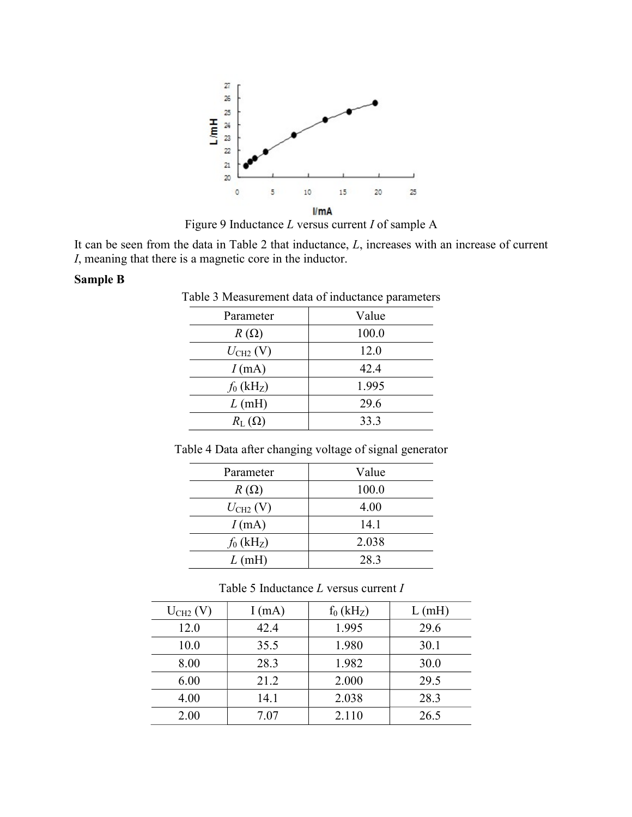

Figure 9 Inductance L versus current I of sample A

It can be seen from the data in Table 2 that inductance,  $L$ , increases with an increase of current I, meaning that there is a magnetic core in the inductor.

#### Sample B

| Value |  |  |
|-------|--|--|
| 100.0 |  |  |
| 12.0  |  |  |
| 42.4  |  |  |
| 1.995 |  |  |
| 29.6  |  |  |
| 33.3  |  |  |
|       |  |  |

Table 4 Data after changing voltage of signal generator

| Parameter                             | Value |  |
|---------------------------------------|-------|--|
| $R(\Omega)$                           | 100.0 |  |
| $U_{\text{CH2}}\left(\text{V}\right)$ | 4.00  |  |
| I(mA)                                 | 14.1  |  |
| $f_0$ (kHz)                           | 2.038 |  |
| L(mH)                                 | 28.3  |  |

Table 5 Inductance L versus current I

| $U_{CH2} (V)$ | I(mA) | $f_0(kH_Z)$ | L(mH) |
|---------------|-------|-------------|-------|
| 12.0          | 42.4  | 1.995       | 29.6  |
| 10.0          | 35.5  | 1.980       | 30.1  |
| 8.00          | 28.3  | 1.982       | 30.0  |
| 6.00          | 21.2  | 2.000       | 29.5  |
| 4.00          | 14.1  | 2.038       | 28.3  |
| 2.00          | 7.07  | 2.110       | 26.5  |